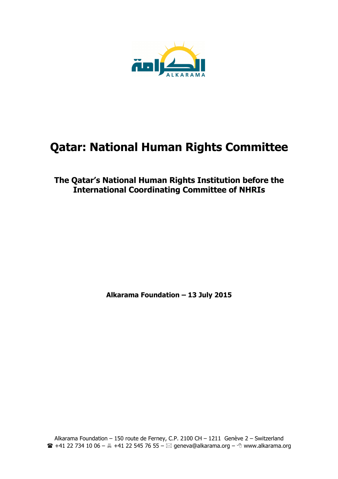

# **Qatar: National Human Rights Committee**

# **The Qatar's National Human Rights Institution before the International Coordinating Committee of NHRIs**

**Alkarama Foundation – 13 July 2015**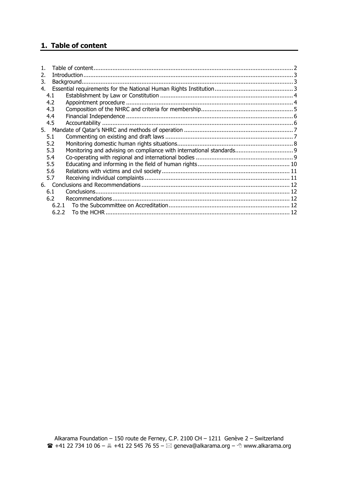# **1. Table of content**

| 2.                                                                          |  |
|-----------------------------------------------------------------------------|--|
| 3.                                                                          |  |
| 4.                                                                          |  |
| 4.1                                                                         |  |
| 4.2                                                                         |  |
| 4.3                                                                         |  |
| 4.4                                                                         |  |
| 4.5                                                                         |  |
|                                                                             |  |
| 5.1                                                                         |  |
| 5.2                                                                         |  |
| Monitoring and advising on compliance with international standards 9<br>5.3 |  |
| 5.4                                                                         |  |
| 5.5                                                                         |  |
| 5.6                                                                         |  |
| 5.7                                                                         |  |
|                                                                             |  |
| 6.1                                                                         |  |
| 6.2                                                                         |  |
| 6.2.1                                                                       |  |
| 6.2.2                                                                       |  |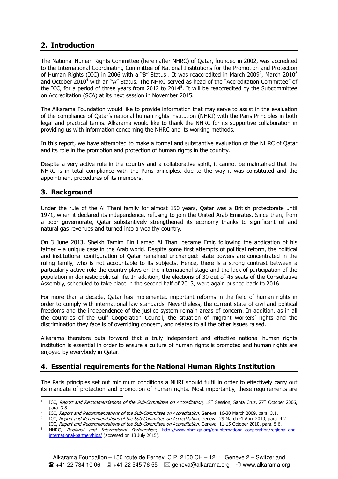# **2. Introduction**

The National Human Rights Committee (hereinafter NHRC) of Qatar, founded in 2002, was accredited to the International Coordinating Committee of National Institutions for the Promotion and Protection of Human Rights (ICC) in 2006 with a "B" Status $^{\rm 1}.$  It was reaccredited in March 2009 $^{\rm 2}$ , March 2010 $^{\rm 3}$ and October 2010<sup>4</sup> with an "A" Status. The NHRC served as head of the "Accreditation Committee" of the ICC, for a period of three years from 2012 to 2014<sup>5</sup>. It will be reaccredited by the Subcommittee on Accreditation (SCA) at its next session in November 2015.

The Alkarama Foundation would like to provide information that may serve to assist in the evaluation of the compliance of Qatar's national human rights institution (NHRI) with the Paris Principles in both legal and practical terms. Alkarama would like to thank the NHRC for its supportive collaboration in providing us with information concerning the NHRC and its working methods.

In this report, we have attempted to make a formal and substantive evaluation of the NHRC of Qatar and its role in the promotion and protection of human rights in the country.

Despite a very active role in the country and a collaborative spirit, it cannot be maintained that the NHRC is in total compliance with the Paris principles, due to the way it was constituted and the appointment procedures of its members.

## **3. Background**

Under the rule of the Al Thani family for almost 150 years, Qatar was a British protectorate until 1971, when it declared its independence, refusing to join the United Arab Emirates. Since then, from a poor governorate, Qatar substantively strengthened its economy thanks to significant oil and natural gas revenues and turned into a wealthy country.

On 3 June 2013, Sheikh Tamim Bin Hamad Al Thani became Emir, following the abdication of his father – a unique case in the Arab world. Despite some first attempts of political reform, the political and institutional configuration of Qatar remained unchanged: state powers are concentrated in the ruling family, who is not accountable to its subjects. Hence, there is a strong contrast between a particularly active role the country plays on the international stage and the lack of participation of the population in domestic political life. In addition, the elections of 30 out of 45 seats of the Consultative Assembly, scheduled to take place in the second half of 2013, were again pushed back to 2016.

For more than a decade, Qatar has implemented important reforms in the field of human rights in order to comply with international law standards. Nevertheless, the current state of civil and political freedoms and the independence of the justice system remain areas of concern. In addition, as in all the countries of the Gulf Cooperation Council, the situation of migrant workers' rights and the discrimination they face is of overriding concern, and relates to all the other issues raised.

Alkarama therefore puts forward that a truly independent and effective national human rights institution is essential in order to ensure a culture of human rights is promoted and human rights are enjoyed by everybody in Qatar.

# **4. Essential requirements for the National Human Rights Institution**

The Paris principles set out minimum conditions a NHRI should fulfil in order to effectively carry out its mandate of protection and promotion of human rights. Most importantly, these requirements are

<sup>-</sup>1 ICC, Report and Recommendations of the Sub-Committee on Accreditation, 18<sup>th</sup> Session, Santa Cruz, 27<sup>th</sup> October 2006, para. 3.8.

<sup>2</sup> ICC, Report and Recommendations of the Sub-Committee on Accreditation, Geneva, 16-30 March 2009, para. 3.1.

<sup>3</sup> ICC, Report and Recommendations of the Sub-Committee on Accreditation, Geneva, 29 March -1 April 2010, para. 4.2.

<sup>4</sup> ICC, Report and Recommendations of the Sub-Committee on Accreditation, Geneva, 11-15 October 2010, para. 5.6. 5

NHRC, Regional and International Partnerships, http://www.nhrc-qa.org/en/international-cooperation/regional-andinternational-partnerships/ (accessed on 13 July 2015).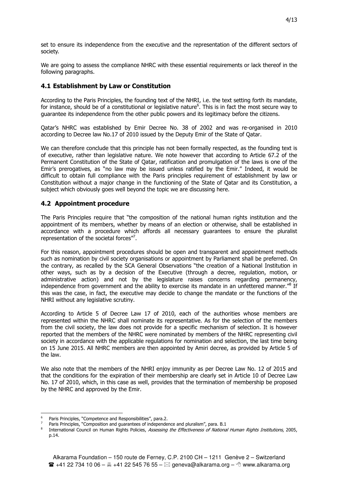set to ensure its independence from the executive and the representation of the different sectors of society.

We are going to assess the compliance NHRC with these essential requirements or lack thereof in the following paragraphs.

#### **4.1 Establishment by Law or Constitution**

According to the Paris Principles, the founding text of the NHRI, i.e. the text setting forth its mandate, for instance, should be of a constitutional or legislative nature<sup>6</sup>. This is in fact the most secure way to guarantee its independence from the other public powers and its legitimacy before the citizens.

Qatar's NHRC was established by Emir Decree No. 38 of 2002 and was re-organised in 2010 according to Decree law No.17 of 2010 issued by the Deputy Emir of the State of Qatar.

We can therefore conclude that this principle has not been formally respected, as the founding text is of executive, rather than legislative nature. We note however that according to Article 67.2 of the Permanent Constitution of the State of Qatar, ratification and promulgation of the laws is one of the Emir's prerogatives, as "no law may be issued unless ratified by the Emir." Indeed, it would be difficult to obtain full compliance with the Paris principles requirement of establishment by law or Constitution without a major change in the functioning of the State of Qatar and its Constitution, a subject which obviously goes well beyond the topic we are discussing here.

#### **4.2 Appointment procedure**

The Paris Principles require that "the composition of the national human rights institution and the appointment of its members, whether by means of an election or otherwise, shall be established in accordance with a procedure which affords all necessary guarantees to ensure the pluralist representation of the societal forces"<sup>7</sup>.

For this reason, appointment procedures should be open and transparent and appointment methods such as nomination by civil society organisations or appointment by Parliament shall be preferred. On the contrary, as recalled by the SCA General Observations "the creation of a National Institution in other ways, such as by a decision of the Executive (through a decree, regulation, motion, or administrative action) and not by the legislature raises concerns regarding permanency, independence from government and the ability to exercise its mandate in an unfettered manner.<sup>18</sup> If this was the case, in fact, the executive may decide to change the mandate or the functions of the NHRI without any legislative scrutiny.

According to Article 5 of Decree Law 17 of 2010, each of the authorities whose members are represented within the NHRC shall nominate its representative. As for the selection of the members from the civil society, the law does not provide for a specific mechanism of selection. It is however reported that the members of the NHRC were nominated by members of the NHRC representing civil society in accordance with the applicable regulations for nomination and selection, the last time being on 15 June 2015. All NHRC members are then appointed by Amiri decree, as provided by Article 5 of the law.

We also note that the members of the NHRI enjoy immunity as per Decree Law No. 12 of 2015 and that the conditions for the expiration of their membership are clearly set in Article 10 of Decree Law No. 17 of 2010, which, in this case as well, provides that the termination of membership be proposed by the NHRC and approved by the Emir.

<sup>-</sup>6 Paris Principles, "Competence and Responsibilities", para.2.

<sup>7</sup> Paris Principles, "Composition and guarantees of independence and pluralism", para. B.1

<sup>8</sup> International Council on Human Rights Policies, Assessing the Effectiveness of National Human Rights Institutions, 2005, p.14.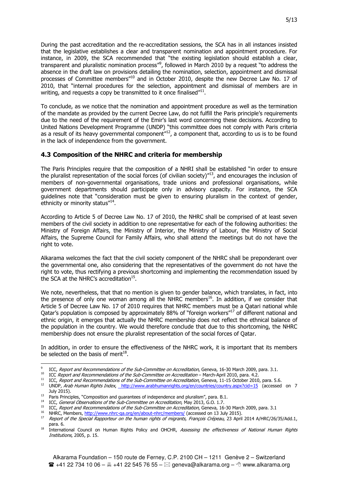During the past accreditation and the re-accreditation sessions, the SCA has in all instances insisted that the legislative establishes a clear and transparent nomination and appointment procedure. For instance, in 2009, the SCA recommended that "the existing legislation should establish a clear, transparent and pluralistic nomination process"<sup>9</sup>, followed in March 2010 by a request "to address the absence in the draft law on provisions detailing the nomination, selection, appointment and dismissal processes of Committee members<sup>"10</sup> and in October 2010, despite the new Decree Law No. 17 of 2010, that "internal procedures for the selection, appointment and dismissal of members are in writing, and requests a copy be transmitted to it once finalised" $^{11}$ .

To conclude, as we notice that the nomination and appointment procedure as well as the termination of the mandate as provided by the current Decree Law, do not fulfill the Paris principle's requirements due to the need of the requirement of the Emir's last word concerning these decisions. According to United Nations Development Programme (UNDP) "this committee does not comply with Paris criteria as a result of its heavy governmental component<sup>"12</sup>, a component that, according to us is to be found in the lack of independence from the government.

#### **4.3 Composition of the NHRC and criteria for membership**

The Paris Principles require that the composition of a NHRI shall be established "in order to ensure the pluralist representation of the social forces (of civilian society)<sup>"13</sup>, and encourages the inclusion of members of non-governmental organisations, trade unions and professional organisations, while government departments should participate only in advisory capacity. For instance, the SCA guidelines note that "consideration must be given to ensuring pluralism in the context of gender, ethnicity or minority status"<sup>14</sup>.

According to Article 5 of Decree Law No. 17 of 2010, the NHRC shall be comprised of at least seven members of the civil society in addition to one representative for each of the following authorities: the Ministry of Foreign Affairs, the Ministry of Interior, the Ministry of Labour, the Ministry of Social Affairs, the Supreme Council for Family Affairs, who shall attend the meetings but do not have the right to vote.

Alkarama welcomes the fact that the civil society component of the NHRC shall be preponderant over the governmental one, also considering that the representatives of the government do not have the right to vote, thus rectifying a previous shortcoming and implementing the recommendation issued by the SCA at the NHRC's accreditation $^{15}$ .

We note, nevertheless, that that no mention is given to gender balance, which translates, in fact, into the presence of only one woman among all the NHRC members<sup>16</sup>. In addition, if we consider that Article 5 of Decree Law No. 17 of 2010 requires that NHRC members must be a Qatari national while Qatar's population is composed by approximately 88% of "foreign workers"<sup>17</sup> of different national and ethnic origin, it emerges that actually the NHRC membership does not reflect the ethnical balance of the population in the country. We would therefore conclude that due to this shortcoming, the NHRC membership does not ensure the pluralist representation of the social forces of Qatar.

In addition, in order to ensure the effectiveness of the NHRC work, it is important that its members be selected on the basis of merit $^{18}$ .

 9 ICC, Report and Recommendations of the Sub-Committee on Accreditation, Geneva, 16-30 March 2009, para. 3.1.

<sup>&</sup>lt;sup>10</sup> ICC Report and Recommendations of the Sub-Committee on Accreditation – March-April 2010, para. 4.2.

ICC, Report and Recommendations of the Sub-Committee on Accreditation, Geneva, 11-15 October 2010, para. 5.6.

<sup>&</sup>lt;sup>12</sup> UNDP, Arab Human Rights Index, http://www.arabhumanrights.org/en/countries/country.aspx?cid=15 (accessed on 7 July 2015).

<sup>&</sup>lt;sup>13</sup> Paris Principles, "Composition and guarantees of independence and pluralism", para. B.1.

<sup>&</sup>lt;sup>14</sup> ICC, General Observations of the Sub-Committee on Accreditation, May 2013, G.O. 1.7.

<sup>&</sup>lt;sup>15</sup> ICC, Report and Recommendations of the Sub-Committee on Accreditation, Geneva, 16-30 March 2009, para. 3.1

<sup>&</sup>lt;sup>16</sup> NHRC, Members, http://www.nhrc-qa.org/en/about-nhrc/members/ (accessed on 13 July 2015).

<sup>17</sup> Report of the Special Rapporteur on the human rights of migrants, François Crépeau, 23 April 2014 A/HRC/26/35/Add.1, para. 6.

<sup>&</sup>lt;sup>18</sup> International Council on Human Rights Policy and OHCHR, Assessing the effectiveness of National Human Rights Institutions, 2005, p. 15.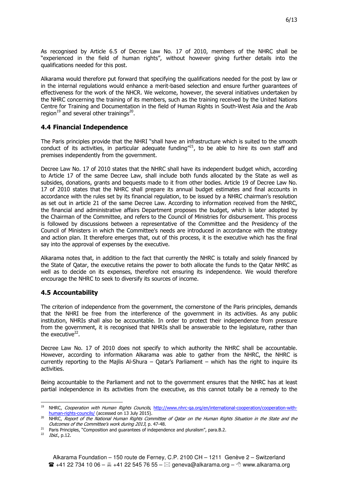Alkarama would therefore put forward that specifying the qualifications needed for the post by law or in the internal regulations would enhance a merit-based selection and ensure further guarantees of effectiveness for the work of the NHCR. We welcome, however, the several initiatives undertaken by the NHRC concerning the training of its members, such as the training received by the United Nations Centre for Training and Documentation in the field of Human Rights in South-West Asia and the Arab region<sup>19</sup> and several other trainings<sup>20</sup>.

## **4.4 Financial Independence**

The Paris principles provide that the NHRI "shall have an infrastructure which is suited to the smooth conduct of its activities, in particular adequate funding  $n^2$ , to be able to hire its own staff and premises independently from the government.

Decree Law No. 17 of 2010 states that the NHRC shall have its independent budget which, according to Article 17 of the same Decree Law, shall include both funds allocated by the State as well as subsides, donations, grants and bequests made to it from other bodies. Article 19 of Decree Law No. 17 of 2010 states that the NHRC shall prepare its annual budget estimates and final accounts in accordance with the rules set by its financial regulation, to be issued by a NHRC chairman's resolution as set out in article 21 of the same Decree Law. According to information received from the NHRC, the financial and administrative affairs Department proposes the budget, which is later adopted by the Chairman of the Committee, and refers to the Council of Ministries for disbursement. This process is followed by discussions between a representative of the Committee and the Presidency of the Council of Ministers in which the Committee's needs are introduced in accordance with the strategy and action plan. It therefore emerges that, out of this process, it is the executive which has the final say into the approval of expenses by the executive.

Alkarama notes that, in addition to the fact that currently the NHRC is totally and solely financed by the State of Qatar, the executive retains the power to both allocate the funds to the Qatar NHRC as well as to decide on its expenses, therefore not ensuring its independence. We would therefore encourage the NHRC to seek to diversify its sources of income.

#### **4.5 Accountability**

The criterion of independence from the government, the cornerstone of the Paris principles, demands that the NHRI be free from the interference of the government in its activities. As any public institution, NHRIs shall also be accountable. In order to protect their independence from pressure from the government, it is recognised that NHRIs shall be answerable to the legislature, rather than the executive<sup>22</sup>.

Decree Law No. 17 of 2010 does not specify to which authority the NHRC shall be accountable. However, according to information Alkarama was able to gather from the NHRC, the NHRC is currently reporting to the Majlis Al-Shura – Qatar's Parliament – which has the right to inquire its activities.

Being accountable to the Parliament and not to the government ensures that the NHRC has at least partial independence in its activities from the executive, as this cannot totally be a remedy to the

<sup>-&</sup>lt;br>19 NHRC, Cooperation with Human Rights Councils, http://www.nhrc-qa.org/en/international-cooperation/cooperation-withhuman-rights-councils/ (accessed on 13 July 2015).

<sup>&</sup>lt;sup>20</sup> NHRC, Report of the National Human Rights Committee of Qatar on the Human Rights Situation in the State and the Outcomes of the Committee's work during 2013, p. 47-48.

<sup>&</sup>lt;sup>21</sup> Paris Principles, "Composition and guarantees of independence and pluralism", para.B.2.

<sup>&</sup>lt;sup>22</sup> *Ibid.*, p.12.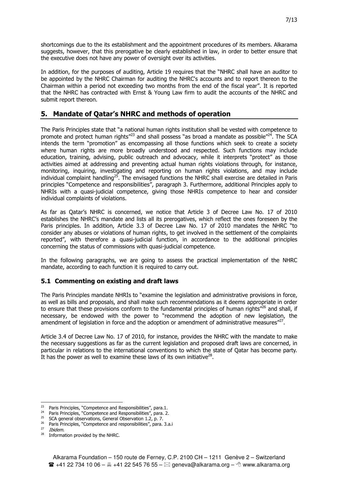shortcomings due to the its establishment and the appointment procedures of its members. Alkarama suggests, however, that this prerogative be clearly established in law, in order to better ensure that the executive does not have any power of oversight over its activities.

In addition, for the purposes of auditing, Article 19 requires that the "NHRC shall have an auditor to be appointed by the NHRC Chairman for auditing the NHRC's accounts and to report thereon to the Chairman within a period not exceeding two months from the end of the fiscal year". It is reported that the NHRC has contracted with Ernst & Young Law firm to audit the accounts of the NHRC and submit report thereon.

# **5. Mandate of Qatar's NHRC and methods of operation**

The Paris Principles state that "a national human rights institution shall be vested with competence to promote and protect human rights<sup> $n23$ </sup> and shall possess "as broad a mandate as possible $n24$ . The SCA intends the term "promotion" as encompassing all those functions which seek to create a society where human rights are more broadly understood and respected. Such functions may include education, training, advising, public outreach and advocacy, while it interprets "protect" as those activities aimed at addressing and preventing actual human rights violations through, for instance, monitoring, inquiring, investigating and reporting on human rights violations, and may include individual complaint handling<sup>25</sup>. The envisaged functions the NHRC shall exercise are detailed in Paris principles "Competence and responsibilities", paragraph 3. Furthermore, additional Principles apply to NHRIs with a quasi-judicial competence, giving those NHRIs competence to hear and consider individual complaints of violations.

As far as Qatar's NHRC is concerned, we notice that Article 3 of Decree Law No. 17 of 2010 establishes the NHRC's mandate and lists all its prerogatives, which reflect the ones foreseen by the Paris principles. In addition, Article 3.3 of Decree Law No. 17 of 2010 mandates the NHRC "to consider any abuses or violations of human rights, to get involved in the settlement of the complaints reported", with therefore a quasi-judicial function, in accordance to the additional principles concerning the status of commissions with quasi-judicial competence.

In the following paragraphs, we are going to assess the practical implementation of the NHRC mandate, according to each function it is required to carry out.

#### **5.1 Commenting on existing and draft laws**

The Paris Principles mandate NHRIs to "examine the legislation and administrative provisions in force, as well as bills and proposals, and shall make such recommendations as it deems appropriate in order to ensure that these provisions conform to the fundamental principles of human rights<sup>"26</sup> and shall, if necessary, be endowed with the power to "recommend the adoption of new legislation, the amendment of legislation in force and the adoption or amendment of administrative measures" $^{27}$ .

Article 3.4 of Decree Law No. 17 of 2010, for instance, provides the NHRC with the mandate to make the necessary suggestions as far as the current legislation and proposed draft laws are concerned, in particular in relations to the international conventions to which the state of Qatar has become party. It has the power as well to examine these laws of its own initiative $^{28}$ .

l <sup>23</sup> Paris Principles, "Competence and Responsibilities", para.1.

<sup>&</sup>lt;sup>24</sup> Paris Principles, "Competence and Responsibilities", para. 2.

<sup>&</sup>lt;sup>25</sup> SCA general observations, General Observation 1.2, p. 7.

<sup>&</sup>lt;sup>26</sup> Paris Principles, "Competence and responsibilities", para. 3.a.i

<sup>27</sup> Ibidem.

<sup>&</sup>lt;sup>28</sup> Information provided by the NHRC.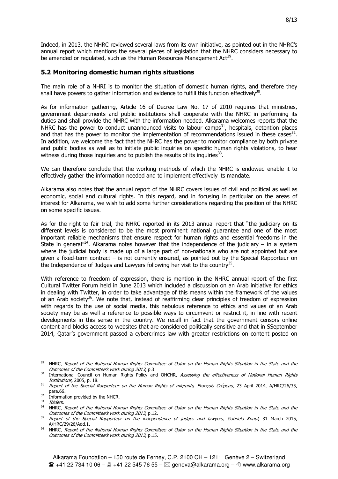Indeed, in 2013, the NHRC reviewed several laws from its own initiative, as pointed out in the NHRC's annual report which mentions the several pieces of legislation that the NHRC considers necessary to be amended or regulated, such as the Human Resources Management Act<sup>29</sup>.

#### **5.2 Monitoring domestic human rights situations**

The main role of a NHRI is to monitor the situation of domestic human rights, and therefore they shall have powers to gather information and evidence to fulfill this function effectively<sup>30</sup>.

As for information gathering, Article 16 of Decree Law No. 17 of 2010 requires that ministries, government departments and public institutions shall cooperate with the NHRC in performing its duties and shall provide the NHRC with the information needed. Alkarama welcomes reports that the NHRC has the power to conduct unannounced visits to labour camps<sup>31</sup>, hospitals, detention places and that has the power to monitor the implementation of recommendations issued in these cases<sup>32</sup>. In addition, we welcome the fact that the NHRC has the power to monitor compliance by both private and public bodies as well as to initiate public inquiries on specific human rights violations, to hear witness during those inquiries and to publish the results of its inquiries $^{33}$ .

We can therefore conclude that the working methods of which the NHRC is endowed enable it to effectively gather the information needed and to implement effectively its mandate.

Alkarama also notes that the annual report of the NHRC covers issues of civil and political as well as economic, social and cultural rights. In this regard, and in focusing in particular on the areas of interest for Alkarama, we wish to add some further considerations regarding the position of the NHRC on some specific issues.

As for the right to fair trial, the NHRC reported in its 2013 annual report that "the judiciary on its different levels is considered to be the most prominent national guarantee and one of the most important reliable mechanisms that ensure respect for human rights and essential freedoms in the State in general<sup>734</sup>. Alkarama notes however that the independence of the judiciary – in a system where the judicial body is made up of a large part of non-nationals who are not appointed but are given a fixed-term contract – is not currently ensured, as pointed out by the Special Rapporteur on the Independence of Judges and Lawyers following her visit to the country<sup>35</sup>.

With reference to freedom of expression, there is mention in the NHRC annual report of the first Cultural Twitter Forum held in June 2013 which included a discussion on an Arab initiative for ethics in dealing with Twitter, in order to take advantage of this means within the framework of the values of an Arab society<sup>36</sup>. We note that, instead of reaffirming clear principles of freedom of expression with regards to the use of social media, this nebulous reference to ethics and values of an Arab society may be as well a reference to possible ways to circumvent or restrict it, in line with recent developments in this sense in the country. We recall in fact that the government censors online content and blocks access to websites that are considered politically sensitive and that in SSeptember 2014, Qatar's government passed a cybercrimes law with greater restrictions on content posted on

<sup>1</sup>  $^{29}$  NHRC, Report of the National Human Rights Committee of Qatar on the Human Rights Situation in the State and the Outcomes of the Committee's work during 2013, p.3.

<sup>&</sup>lt;sup>30</sup> International Council on Human Rights Policy and OHCHR, Assessing the effectiveness of National Human Rights Institutions, 2005, p. 18.

<sup>&</sup>lt;sup>31</sup> Report of the Special Rapporteur on the Human Rights of migrants, François Crépeau, 23 April 2014, A/HRC/26/35, para.66.

<sup>&</sup>lt;sup>32</sup> Information provided by the NHCR.

<sup>&</sup>lt;sup>33</sup> Ibidem.

<sup>&</sup>lt;sup>34</sup> NHRC, Report of the National Human Rights Committee of Qatar on the Human Rights Situation in the State and the Outcomes of the Committee's work during 2013, p.12.

<sup>&</sup>lt;sup>35</sup> Report of the Special Rapporteur on the independence of judges and lawyers, Gabriela Knaul, 31 March 2015, A/HRC/29/26/Add.1.

<sup>36</sup> NHRC, Report of the National Human Rights Committee of Qatar on the Human Rights Situation in the State and the Outcomes of the Committee's work during 2013, p.15.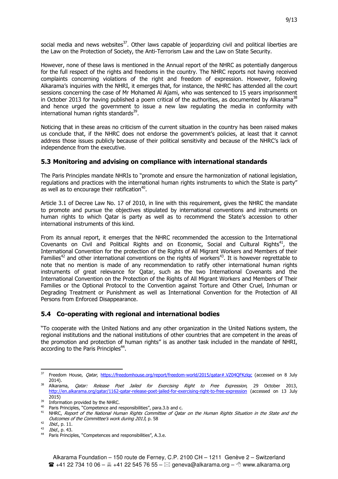social media and news websites<sup>37</sup>. Other laws capable of jeopardizing civil and political liberties are the Law on the Protection of Society, the Anti-Terrorism Law and the Law on State Security.

However, none of these laws is mentioned in the Annual report of the NHRC as potentially dangerous for the full respect of the rights and freedoms in the country. The NHRC reports not having received complaints concerning violations of the right and freedom of expression. However, following Alkarama's inquiries with the NHRI, it emerges that, for instance, the NHRC has attended all the court sessions concerning the case of Mr Mohamed Al Ajami, who was sentenced to 15 years imprisonment in October 2013 for having published a poem critical of the authorities, as documented by Alkarama<sup>38</sup> and hence urged the government to issue a new law regulating the media in conformity with international human rights standards<sup>39</sup>.

Noticing that in these areas no criticism of the current situation in the country has been raised makes us conclude that, if the NHRC does not endorse the government's policies, at least that it cannot address those issues publicly because of their political sensitivity and because of the NHRC's lack of independence from the executive.

#### **5.3 Monitoring and advising on compliance with international standards**

The Paris Principles mandate NHRIs to "promote and ensure the harmonization of national legislation, regulations and practices with the international human rights instruments to which the State is party" as well as to encourage their ratification<sup>40</sup>.

Article 3.1 of Decree Law No. 17 of 2010, in line with this requirement, gives the NHRC the mandate to promote and pursue the objectives stipulated by international conventions and instruments on human rights to which Qatar is party as well as to recommend the State's accession to other international instruments of this kind.

From its annual report, it emerges that the NHRC recommended the accession to the International Covenants on Civil and Political Rights and on Economic, Social and Cultural Rights<sup>41</sup>, the International Convention for the protection of the Rights of All Migrant Workers and Members of their Families<sup>42</sup> and other international conventions on the rights of workers<sup>43</sup>. It is however regrettable to note that no mention is made of any recommendation to ratify other international human rights instruments of great relevance for Qatar, such as the two International Covenants and the International Convention on the Protection of the Rights of All Migrant Workers and Members of Their Families or the Optional Protocol to the Convention against Torture and Other Cruel, Inhuman or Degrading Treatment or Punishment as well as International Convention for the Protection of All Persons from Enforced Disappearance.

#### **5.4 Co-operating with regional and international bodies**

"To cooperate with the United Nations and any other organization in the United Nations system, the regional institutions and the national institutions of other countries that are competent in the areas of the promotion and protection of human rights" is as another task included in the mandate of NHRI, according to the Paris Principles<sup>44</sup>.

l Freedom House, *Qatar*, https://freedomhouse.org/report/freedom-world/2015/qatar#.VZ04OFKzlqc (accessed on 8 July 2014).<br><sup>38</sup> Alkarama,

Qatar: Release Poet Jailed for Exercising Right to Free Expression, 29 October 2013, http://en.alkarama.org/qatar/1162-qatar-release-poet-jailed-for-exercising-right-to-free-expression (accessed on 13 July  $2015$ 

 $39$  Information provided by the NHRC.

<sup>&</sup>lt;sup>40</sup> Paris Principles, "Competence and responsibilities", para.3.b and c.

<sup>&</sup>lt;sup>41</sup> NHRC, Report of the National Human Rights Committee of Qatar on the Human Rights Situation in the State and the Outcomes of the Committee's work during 2013, p. 58

<sup>&</sup>lt;sup>42</sup> *Ibid.*, p. 11.<br><sup>43</sup> *Ibid.*, p. 43.

<sup>44</sup> Paris Principles, "Competences and responsibilities", A.3.e.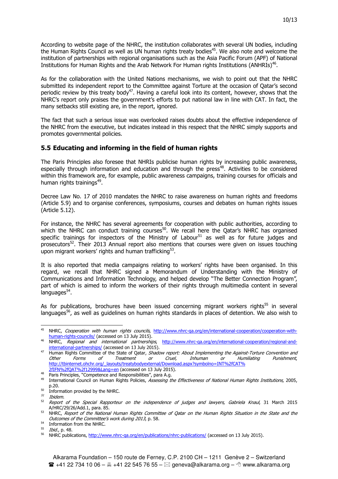According to website page of the NHRC, the institution collaborates with several UN bodies, including the Human Rights Council as well as UN human rights treaty bodies<sup>45</sup>. We also note and welcome the institution of partnerships with regional organisations such as the Asia Pacific Forum (APF) of National Institutions for Human Rights and the Arab Network For Human rights Institutions (ANHRIs)<sup>46</sup>.

As for the collaboration with the United Nations mechanisms, we wish to point out that the NHRC submitted its independent report to the Committee against Torture at the occasion of Qatar's second periodic review by this treaty body<sup>47</sup>. Having a careful look into its content, however, shows that the NHRC's report only praises the government's efforts to put national law in line with CAT. In fact, the many setbacks still existing are, in the report, ignored.

The fact that such a serious issue was overlooked raises doubts about the effective independence of the NHRC from the executive, but indicates instead in this respect that the NHRC simply supports and promotes governmental policies.

#### **5.5 Educating and informing in the field of human rights**

The Paris Principles also foresee that NHRIs publicise human rights by increasing public awareness, especially through information and education and through the press<sup>48</sup>. Activities to be considered within this framework are, for example, public awareness campaigns, training courses for officials and human rights trainings<sup>49</sup>.

Decree Law No. 17 of 2010 mandates the NHRC to raise awareness on human rights and freedoms (Article 5.9) and to organise conferences, symposiums, courses and debates on human rights issues (Article 5.12).

For instance, the NHRC has several agreements for cooperation with public authorities, according to which the NHRC can conduct training courses $50$ . We recall here the Qatar's NHRC has organised specific trainings for inspectors of the Ministry of Labour<sup>51</sup> as well as for future judges and prosecutors<sup>52</sup>. Their 2013 Annual report also mentions that courses were given on issues touching upon migrant workers' rights and human trafficking $^{53}$ .

It is also reported that media campaigns relating to workers' rights have been organised. In this regard, we recall that NHRC signed a Memorandum of Understanding with the Ministry of Communications and Information Technology, and helped develop "The Better Connection Program", part of which is aimed to inform the workers of their rights through multimedia content in several languages<sup>54</sup>.

As for publications, brochures have been issued concerning migrant workers rights<sup>55</sup> in several languages<sup>56</sup>, as well as guidelines on human rights standards in places of detention. We also wish to

l

<sup>&</sup>lt;sup>45</sup> NHRC, Cooperation with human rights councils, http://www.nhrc-qa.org/en/international-cooperation/cooperation-withhuman-rights-councils/ (accessed on 13 July 2015).

<sup>&</sup>lt;sup>46</sup> NHRC, *Regional and international partnerships*, http://www.nhrc-qa.org/en/international-cooperation/regional-andinternational-partnerships/ (accessed on 13 July 2015).

Human Rights Committee of the State of Qatar, *Shadow report: About Implementing the Against-Torture Convention and*<br>Other Forms of Treatment or Cruel. Inhuman or Humiliating Punishment. Other Forms of Treatment or Cruel, Inhuman or Humiliating Punishment, http://tbinternet.ohchr.org/\_layouts/treatybodyexternal/Download.aspx?symbolno=INT%2fCAT%

<sup>2</sup>fIFN%2fQAT%2f12999&Lang=en (accessed on 13 July 2015). Paris Principles, "Competence and Responsibilities", para A.g.

<sup>&</sup>lt;sup>49</sup> International Council on Human Rights Policies, Assessing the Effectiveness of National Human Rights Institutions, 2005, p.20.

 $50$  Information provided by the NHRC.

<sup>&</sup>lt;sup>51</sup> Ibidem.<br><sup>52</sup> Report of the Special Rapporteur on the independence of judges and lawyers, Gabriela Knaul, 31 March 2015 A/HRC/29/26/Add.1, para. 85.

<sup>53</sup> NHRC, Report of the National Human Rights Committee of Qatar on the Human Rights Situation in the State and the Outcomes of the Committee's work during 2013, p. 58.

<sup>&</sup>lt;sup>54</sup> Information from the NHRC.

<sup>&</sup>lt;sup>55</sup> *Ibid.,* p. 48.

<sup>&</sup>lt;sup>56</sup> NHRC publications, http://www.nhrc-qa.org/en/publications/nhrc-publications/ (accessed on 13 July 2015).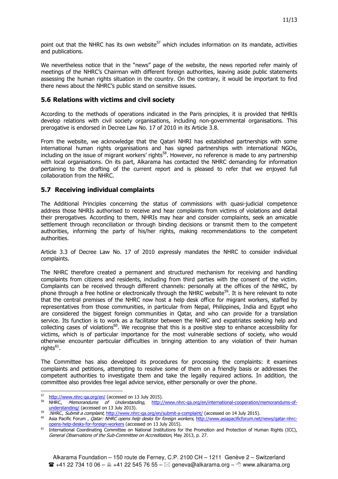point out that the NHRC has its own website<sup>57</sup> which includes information on its mandate, activities and publications.

We nevertheless notice that in the "news" page of the website, the news reported refer mainly of meetings of the NHRC's Chairman with different foreign authorities, leaving aside public statements assessing the human rights situation in the country. On the contrary, it would be important to find there news about the NHRC's public stand on sensitive issues.

#### **5.6 Relations with victims and civil society**

According to the methods of operations indicated in the Paris principles, it is provided that NHRIs develop relations with civil society organisations, including non-governmental organisations. This prerogative is endorsed in Decree Law No. 17 of 2010 in its Article 3.8.

From the website, we acknowledge that the Qatari NHRI has established partnerships with some international human rights organisations and has signed partnerships with international NGOs, including on the issue of migrant workers' rights<sup>58</sup>. However, no reference is made to any partnership with local organisations. On its part, Alkarama has contacted the NHRC demanding for information pertaining to the drafting of the current report and is pleased to refer that we enjoyed full collaboration from the NHRC.

#### **5.7 Receiving individual complaints**

The Additional Principles concerning the status of commissions with quasi-judicial competence address those NHRIs authorised to receive and hear complaints from victims of violations and detail their prerogatives. According to them, NHRIs may hear and consider complaints, seek an amicable settlement through reconciliation or through binding decisions or transmit them to the competent authorities, informing the party of his/her rights, making recommendations to the competent authorities.

Article 3.3 of Decree Law No. 17 of 2010 expressly mandates the NHRC to consider individual complaints.

The NHRC therefore created a permanent and structured mechanism for receiving and handling complaints from citizens and residents, including from third parties with the consent of the victim. Complaints can be received through different channels: personally at the offices of the NHRC, by phone through a free hotline or electronically through the NHRC website<sup>59</sup>. It is here relevant to note that the central premises of the NHRC now host a help desk office for migrant workers, staffed by representatives from those communities, in particular from Nepal, Philippines, India and Egypt who are considered the biggest foreign communities in Qatar, and who can provide for a translation service. Its function is to work as a facilitator between the NHRC and expatriates seeking help and collecting cases of violations<sup>60</sup>. We recognise that this is a positive step to enhance accessibility for victims, which is of particular importance for the most vulnerable sections of society, who would otherwise encounter particular difficulties in bringing attention to any violation of their human rights<sup>61</sup>.

The Committee has also developed its procedures for processing the complaints: it examines complaints and petitions, attempting to resolve some of them on a friendly basis or addresses the competent authorities to investigate them and take the legally required actions. In addition, the committee also provides free legal advice service, either personally or over the phone.

<sup>-</sup>57 http://www.nhrc-qa.org/en/ (accessed on 13 July 2015).

<sup>&</sup>lt;sup>58</sup> NHRC, *Memorandums of Understanding*, http://www.nhrc-qa.org/en/international-cooperation/memorandums-ofunderstanding/ (accessed on 13 July 2013).

 $\frac{59}{100}$ . NHRC, Submit a complaint, http://www.nhrc-qa.org/en/submit-a-complaint/ (accessed on 14 July 2015).

Asia Pacific Forum , *Qatar: NHRC opens help desks for foreign workers*, http://www.asiapacificforum.net/news/qatar-nhrcopens-help-desks-for-foreign-workers (accessed on 13 July 2015).

<sup>61</sup> International Coordinating Committee on National Institutions for the Promotion and Protection of Human Rights (ICC), General Observations of the Sub-Committee on Accreditation, May 2013, p. 27.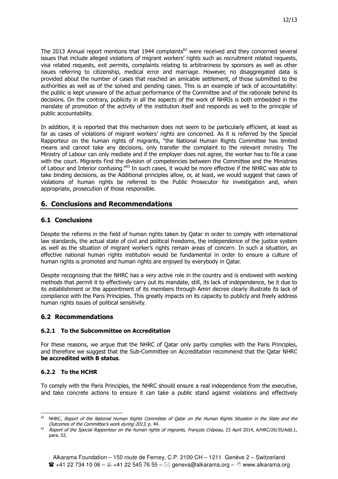The 2013 Annual report mentions that 1944 complaints<sup>62</sup> were received and they concerned several issues that include alleged violations of migrant workers' rights such as recruitment related requests, visa related requests, exit permits, complaints relating to arbitrariness by sponsors as well as other issues referring to citizenship, medical error and marriage. However, no disaggregated data is provided about the number of cases that reached an amicable settlement, of those submitted to the authorities as well as of the solved and pending cases. This is an example of lack of accountability: the public is kept unaware of the actual performance of the Committee and of the rationale behind its decisions. On the contrary, publicity in all the aspects of the work of NHRIs is both embedded in the mandate of promotion of the activity of the institution itself and responds as well to the principle of public accountability.

In addition, it is reported that this mechanism does not seem to be particularly efficient, at least as far as cases of violations of migrant workers' rights are concerned. As it is referred by the Special Rapporteur on the human rights of migrants, "the National Human Rights Committee has limited means and cannot take any decisions, only transfer the complaint to the relevant ministry. The Ministry of Labour can only mediate and if the employer does not agree, the worker has to file a case with the court. Migrants find the division of competencies between the Committee and the Ministries of Labour and Interior confusing."<sup>63</sup> In such cases, it would be more effective if the NHRC was able to take binding decisions, as the Additional principles allow, or, at least, we would suggest that cases of violations of human rights be referred to the Public Prosecutor for investigation and, when appropriate, prosecution of those responsible.

## **6. Conclusions and Recommendations**

#### **6.1 Conclusions**

Despite the reforms in the field of human rights taken by Qatar in order to comply with international law standards, the actual state of civil and political freedoms, the independence of the justice system as well as the situation of migrant worker's rights remain areas of concern. In such a situation, an effective national human rights institution would be fundamental in order to ensure a culture of human rights is promoted and human rights are enjoyed by everybody in Qatar.

Despite recognising that the NHRC has a very active role in the country and is endowed with working methods that permit it to effectively carry out its mandate, still, its lack of independence, be it due to its establishment or the appointment of its members through Amiri decree clearly illustrate its lack of compliance with the Paris Principles. This greatly impacts on its capacity to publicly and freely address human rights issues of political sensitivity.

#### **6.2 Recommendations**

#### **6.2.1 To the Subcommittee on Accreditation**

For these reasons, we argue that the NHRC of Qatar only partly complies with the Paris Principles, and therefore we suggest that the Sub-Committee on Accreditation recommend that the Qatar NHRC **be accredited with B status**.

#### **6.2.2 To the HCHR**

To comply with the Paris Principles, the NHRC should ensure a real independence from the executive, and take concrete actions to ensure it can take a public stand against violations and effectively

<sup>-</sup>NHRC, Report of the National Human Rights Committee of Qatar on the Human Rights Situation in the State and the Outcomes of the Committee's work during 2013, p. 44.

<sup>&</sup>lt;sup>63</sup> Report of the Special Rapporteur on the human rights of migrants, François Crépeau, 23 April 2014, A/HRC/26/35/Add.1, para. 52.